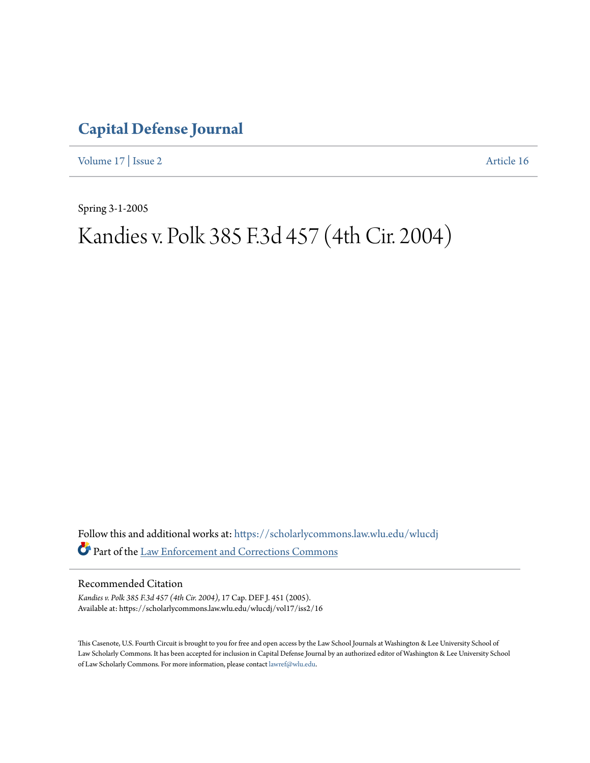## **[Capital Defense Journal](https://scholarlycommons.law.wlu.edu/wlucdj?utm_source=scholarlycommons.law.wlu.edu%2Fwlucdj%2Fvol17%2Fiss2%2F16&utm_medium=PDF&utm_campaign=PDFCoverPages)**

[Volume 17](https://scholarlycommons.law.wlu.edu/wlucdj/vol17?utm_source=scholarlycommons.law.wlu.edu%2Fwlucdj%2Fvol17%2Fiss2%2F16&utm_medium=PDF&utm_campaign=PDFCoverPages) | [Issue 2](https://scholarlycommons.law.wlu.edu/wlucdj/vol17/iss2?utm_source=scholarlycommons.law.wlu.edu%2Fwlucdj%2Fvol17%2Fiss2%2F16&utm_medium=PDF&utm_campaign=PDFCoverPages) [Article 16](https://scholarlycommons.law.wlu.edu/wlucdj/vol17/iss2/16?utm_source=scholarlycommons.law.wlu.edu%2Fwlucdj%2Fvol17%2Fiss2%2F16&utm_medium=PDF&utm_campaign=PDFCoverPages)

Spring 3-1-2005

# Kandies v. Polk 385 F.3d 457 (4th Cir. 2004)

Follow this and additional works at: [https://scholarlycommons.law.wlu.edu/wlucdj](https://scholarlycommons.law.wlu.edu/wlucdj?utm_source=scholarlycommons.law.wlu.edu%2Fwlucdj%2Fvol17%2Fiss2%2F16&utm_medium=PDF&utm_campaign=PDFCoverPages) Part of the [Law Enforcement and Corrections Commons](http://network.bepress.com/hgg/discipline/854?utm_source=scholarlycommons.law.wlu.edu%2Fwlucdj%2Fvol17%2Fiss2%2F16&utm_medium=PDF&utm_campaign=PDFCoverPages)

Recommended Citation

*Kandies v. Polk 385 F.3d 457 (4th Cir. 2004)*, 17 Cap. DEF J. 451 (2005). Available at: https://scholarlycommons.law.wlu.edu/wlucdj/vol17/iss2/16

This Casenote, U.S. Fourth Circuit is brought to you for free and open access by the Law School Journals at Washington & Lee University School of Law Scholarly Commons. It has been accepted for inclusion in Capital Defense Journal by an authorized editor of Washington & Lee University School of Law Scholarly Commons. For more information, please contact [lawref@wlu.edu.](mailto:lawref@wlu.edu)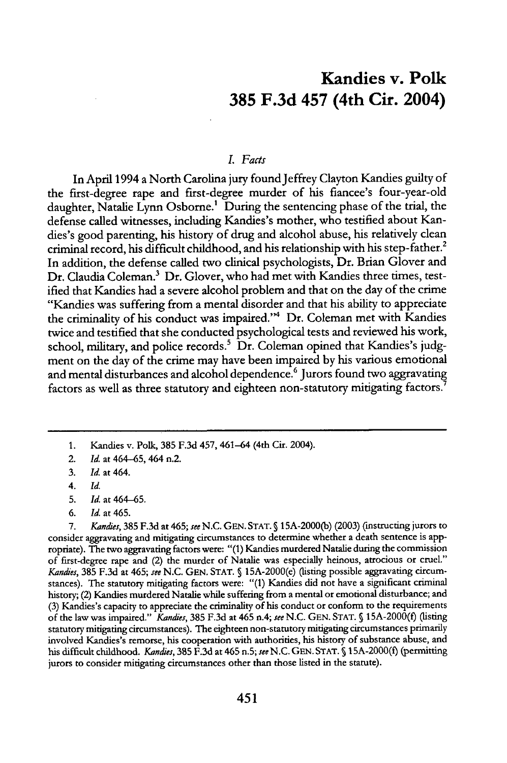### Kandies v. Polk **385 F.3d** 457 (4th Cir. 2004)

#### *L Facts*

In April 1994 a North Carolina jury found Jeffrey Clayton Kandies guilty of the first-degree rape and first-degree murder of his fiancee's four-year-old daughter, Natalie Lynn Osborne.' During the sentencing phase of the trial, the defense called witnesses, including Kandies's mother, who testified about Kandies's good parenting, his history of drug and alcohol abuse, his relatively clean criminal record, his difficult childhood, and his relationship with his step-father.2 In addition, the defense called two clinical psychologists, Dr. Brian Glover and Dr. Claudia Coleman.<sup>3</sup> Dr. Glover, who had met with Kandies three times, testified that Kandies had a severe alcohol problem and that on the day of the crime "Kandies was suffering from a mental disorder and that his ability to appreciate the criminality of his conduct was impaired."<sup>4</sup> Dr. Coleman met with Kandies twice and testified that she conducted psychological tests and reviewed his work, school, military, and police records.<sup>5</sup> Dr. Coleman opined that Kandies's judgment on the day of the crime may have been impaired **by** his various emotional and mental disturbances and alcohol dependence.<sup>6</sup> Jurors found two aggravating factors as well as three statutory and eighteen non-statutory mitigating factors.<sup>1</sup>

*7. Kandes,* 385 F.3d at 465; *see* N.C. GEN. STAT. § 15A-2000(b) (2003) (instructing jurors to consider aggravating and mitigating circumstances to determine whether a death sentence is appropriate). The two aggravating factors were: "(1) Kandies murdered Natalie during the commission of first-degree rape and (2) the murder of Natalie was especially heinous, atrocious or cruel." *Kandies,* 385 F.3d at 465; *see* N.C. **GEN.** STAT. **§** 15A-2000(e) (listing possible aggravating circumstances). The statutory mitigating factors were: "(1) Kandies did not have a significant criminal history; (2) Kandies murdered Natalie while suffering from a mental or emotional disturbance; and (3) Kandies's capacity to appreciate the criminality of his conduct or conform to the requirements of the law was impaired." *Kandes,* 385 F.3d at 465 n.4; *see* N.C. GEN. STAT. **§** 15A-2000(f) (listing statutory mitigating circumstances). The eighteen non-statutory mitigating circumstances primarily involved Kandies's remorse, his cooperation with authorities, his history of substance abuse, and his difficult childhood. *Kandies,* **385** F.3d at 465 n.5; *see* N.C. GEN. **STAT. S** 15A-2000(f) (permitting jurors to consider mitigating circumstances other than those listed in the statute).

<sup>1.</sup> Kandies v. Polk, **385 F.3d** 457, 461-64 (4th Cir. 2004).

<sup>2.</sup> *Id.* at 464-65, 464 n.2.

**<sup>3.</sup>** *Id.* at 464.

<sup>4.</sup> *Id.*

**<sup>5.</sup>** Id. at 464-65.

*<sup>6.</sup> Id.* at 465.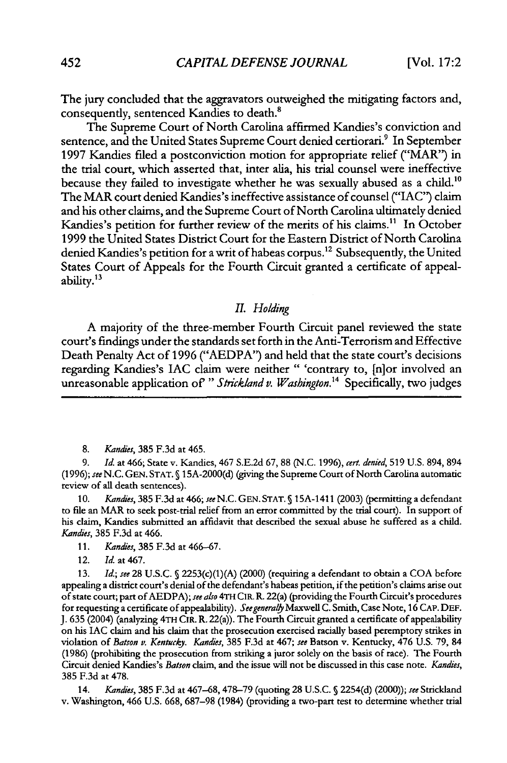The jury concluded that the aggravators outweighed the mitigating factors and, consequently, sentenced Kandies to death.'

The Supreme Court of North Carolina affirmed Kandies's conviction and sentence, and the United States Supreme Court denied certiorari.<sup>9</sup> In September 1997 Kandies filed a postconviction motion for appropriate relief ("MAR") in the trial court, which asserted that, inter alia, his trial counsel were ineffective because they failed to investigate whether he was sexually abused as a child.<sup>10</sup> The MAR court denied Kandies's ineffective assistance of counsel ("IAC") claim and his other claims, and the Supreme Court of North Carolina ultimately denied Kandies's petition for further review of the merits of his claims." In October 1999 the United States District Court for the Eastern District of North Carolina denied Kandies's petition for a writ of habeas corpus.<sup>12</sup> Subsequently, the United States Court of Appeals for the Fourth Circuit granted a certificate of appealability.<sup>13</sup>

#### *II. Holding*

A majority of the three-member Fourth Circuit panel reviewed the state court's findings under the standards set forth in the Anti-Terrorism and Effective Death Penalty Act of 1996 ("AEDPA") and held that the state court's decisions regarding Kandies's IAC claim were neither " 'contrary to, [n]or involved an unreasonable application of " Strickland v. Washington.<sup>14</sup> Specifically, two judges

8. *Kandies,* 385 F.3d at 465.

9. *Id.* at 466; State v. Kandies, 467 S.E.2d 67, 88 (N.C. 1996), *cert. denied,* 519 U.S. 894, 894 (1996); *see* N.C. **GEN. STAT. § 15A-2000(d)** (giving the Supreme Court of North Carolina automatic review of all death sentences).

10. *Kandies,* 385 F.3d at 466; see N.C. **GEN. STAT. §** 15A-1411 (2003) (permitting a defendant to file an MAR to seek post-trial relief from an error committed by the trial court). In support of his claim, Kandies submitted an affidavit that described the sexual abuse he suffered as a child. *Kandies,* 385 F.3d at 466.

- 11. *Kandies,* 385 F.3d at 466-67.
- 12. *Id.* at 467.

13. *Id.; see* 28 U.S.C. **§** 2253(c)(1)(A) (2000) (requiring a defendant to obtain a COA before appealing a district court's denial of the defendant's habeas petition, if the petition's claims arise out of state court; part ofAEDPA); *see also* 4TH CIR. R. 22(a) (providing the Fourth Circuit's procedures for requesting a certificate of appealability). *Seegeneralby* Maxwell C. Smith, Case Note, 16 **CAP. DEF. J.** 635 (2004) (analyzing 4TH CIR. R. 22(a)). The Fourth Circuit granted a certificate of appealability on his JAC claim and his claim that the prosecution exercised racially based peremptory strikes in violation of *Batson v. Kentucky. Kandies,* 385 F.3d at 467; *see* Batson v. Kentucky, 476 U.S. 79, 84 (1986) (prohibiting the prosecution from striking a juror solely on the basis of race). The Fourth Circuit denied Kandies's *Batson* claim, and the issue will not be discussed in this case note. *Kandies,* 385 F.3d at 478.

14. *Kandes,* 385 F.3d at 467-68, 478-79 (quoting 28 U.S.C. **§** 2254(d) (2000)); *see* Strickland v. Washington, 466 U.S. 668, 687-98 (1984) (providing a two-part test to determine whether trial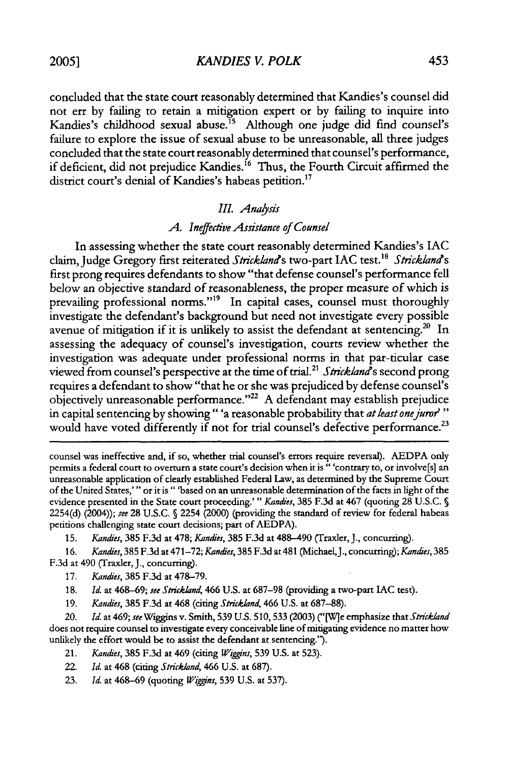*KANDIES V. POLK*

concluded that the state court reasonably determined that Kandies's counsel did not err by failing to retain a mitigation expert or by failing to inquire into Kandies's childhood sexual abuse."5 Although one judge did find counsel's failure to explore the issue of sexual abuse to be unreasonable, all three judges concluded that the state court reasonably determined that counsel's performance, if deficient, did not prejudice Kandies.<sup>16</sup> Thus, the Fourth Circuit affirmed the district court's denial of Kandies's habeas petition.<sup>17</sup>

#### *III. Analysis*

#### *A. Ineffective Assistance of Counsel*

In assessing whether the state court reasonably determined Kandies's **IAC** claim, Judge Gregory first reiterated Strickland's two-part IAC test.<sup>18</sup> Strickland's first prong requires defendants to show "that defense counsel's performance fell below an objective standard of reasonableness, the proper measure of which is prevailing professional norms."<sup>19</sup> In capital cases, counsel must thoroughly investigate the defendant's background but need not investigate every possible avenue of mitigation if it is unlikely to assist the defendant at sentencing.<sup>20</sup> In assessing the adequacy of counsel's investigation, courts review whether the investigation was adequate under professional norms in that par-ticular case viewed from counsel's perspective at the time of trial.<sup>21</sup> Stricklana<sup>s</sup>s second prong requires a defendant to show "that he or she was prejudiced by defense counsel's objectively unreasonable performance."<sup>22</sup> A defendant may establish prejudice in capital sentencing by showing" 'a reasonable probability that *at least onejuror'"* would have voted differently if not for trial counsel's defective performance.<sup>23</sup>

counsel was ineffective and, if so, whether trial counsel's errors require reversal). AEDPA only permits a federal court to overturn a state court's decision when it is " 'contrary to, or involve[s] an unreasonable application of clearly established Federal Law, as determined by the Supreme Court of the United States,"' or it is" 'based on an unreasonable determination of the facts in light of the evidence presented in the State court proceeding.'" Kandies, 385 F.3d at 467 (quoting 28 U.S.C. **S** 2254(d) (2004)); **see** 28 U.S.C. **§** 2254 (2000) (providing the standard of review for federal habeas petitions challenging state court decisions; part of AEDPA).

15. *Kandies*, 385 F.3d at 478; *Kandies*, 385 F.3d at 488-490 (Traxler, J., concurring).

16. *Kandies*, 385 F.3d at 471-72; *Kandies*, 385 F.3d at 481 (Michael, J., concurring); *Kandies*, 385 F.3d at 490 (Traxler, J., concurring).

17. Kandies, 385 F.3d at 478-79.

18. *Id.* at 468-69; see Strickland, 466 U.S. at 687-98 (providing a two-part IAC test).

19. Kandies, **385** F.3d at 468 (citing Strickland, 466 U.S. at 687-88).

20. **Id.** at 469; see Wiggins v. Smith, **539** U.S. 510, **533** (2003) *("[Wie* emphasize that Strickland does not require counsel to investigate every conceivable line of mitigating evidence no matter how unlikely the effort would be to assist the defendant at sentencing.").

- 21. Kandies, **385** F.3d at 469 (citing Wiggins, **539** U.S. at 523).
- 22. *Id.* at 468 (citing Strickland, 466 U.S. at 687).
- 23. *Id.* at 468-69 (quoting *Viggins,* **539** U.S. at 537).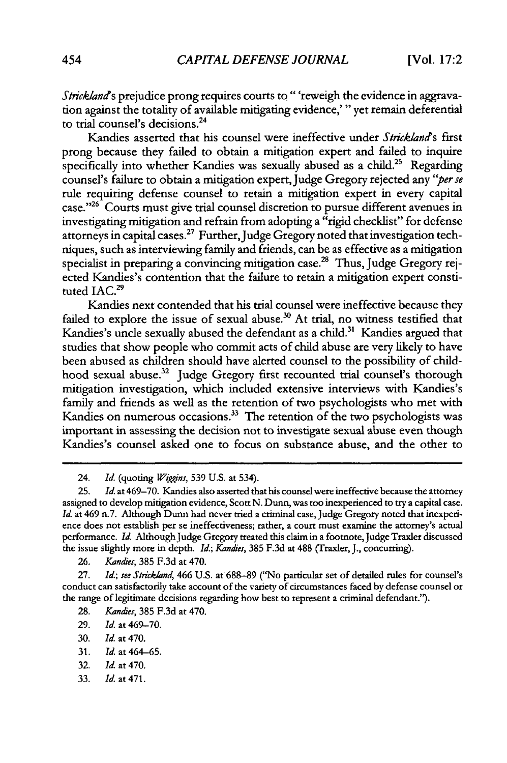Strickland's prejudice prong requires courts to "'reweigh the evidence in aggravation against the totality of available mitigating evidence,'" yet remain deferential to trial counsel's decisions.<sup>24</sup>

Kandies asserted that his counsel were ineffective under *Stricklani?s* first prong because they failed to obtain a mitigation expert and failed to inquire specifically into whether Kandies was sexually abused as a child.<sup>25</sup> Regarding counsel's failure to obtain a mitigation expert,Judge Gregory rejected any *'per se* rule requiring defense counsel to retain a mitigation expert in every capital case."26 Courts must give trial counsel discretion to pursue different avenues in investigating mitigation and refrain from adopting a "rigid checklist" for defense attorneys in capital cases.<sup>27</sup> Further, Judge Gregory noted that investigation techniques, such as interviewing family and friends, can be as effective as a mitigation specialist in preparing a convincing mitigation case.<sup>28</sup> Thus, Judge Gregory rejected Kandies's contention that the failure to retain a mitigation expert constituted IAC.<sup>29</sup>

Kandies next contended that his trial counsel were ineffective because they failed to explore the issue of sexual abuse.<sup>30</sup> At trial, no witness testified that Kandies's uncle sexually abused the defendant as a child.<sup>31</sup> Kandies argued that studies that show people who commit acts of child abuse are very likely to have been abused as children should have alerted counsel to the possibility of childhood sexual abuse.<sup>32</sup> Judge Gregory first recounted trial counsel's thorough mitigation investigation, which included extensive interviews with Kandies's family and friends as well as the retention of two psychologists who met with Kandies on numerous occasions.<sup>33</sup> The retention of the two psychologists was important in assessing the decision not to investigate sexual abuse even though Kandies's counsel asked one to focus on substance abuse, and the other to

26. *Kandes,* 385 F.3d at 470.

27. *Id.;* see *Strickland,* 466 U.S. at 688-89 ("No particular set of detailed rules for counsel's conduct can satisfactorily take account of the variety of circumstances faced by defense counsel or the range of legitimate decisions regarding how best to represent a criminal defendant.").

- 28. *Kandles,* 385 F.3d at 470.
- 29. *Id.* at 469-70.
- 30. Id. at 470.
- 31. Id. at 464-65.
- 32. **Id.** at 470.
- 33. Id. at 471.

<sup>24.</sup> Id. (quoting *Wiggins,* 539 U.S. at 534).

<sup>25.</sup> Id. at 469-70. Kandies also asserted that his counsel were ineffective because the attorney assigned to develop mitigation evidence, Scott N. Dunn, was too inexperienced to try a capital case. Id. at 469 n.7. Although Dunn had never tried a criminal case, Judge Gregory noted that inexperience does not establish per se ineffectiveness; rather, a court must examine the attorney's actual performance. Id. Although Judge Gregory treated this claim in a footnote, Judge Traxler discussed the issue slightly more in depth. *Id.; Kandies*, 385 F.3d at 488 (Traxler, J., concurring).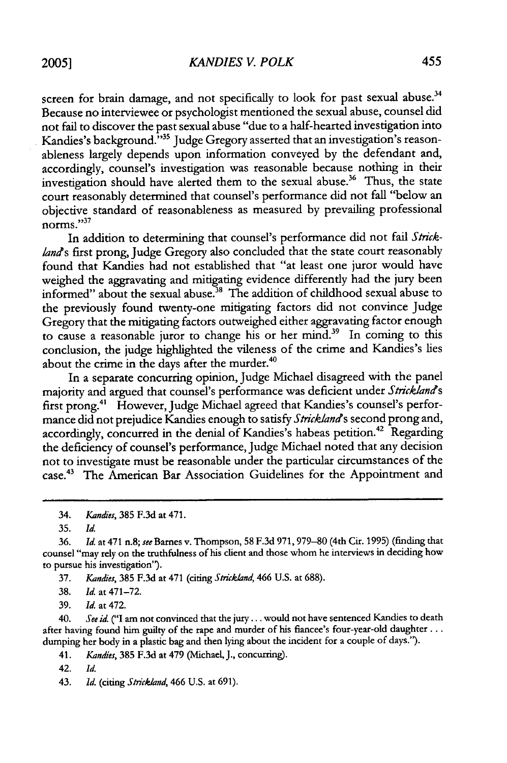*KANDIES V. POLK*

screen for brain damage, and not specifically to look for past sexual abuse.<sup>34</sup> Because no interviewee or psychologist mentioned the sexual abuse, counsel did not fail to discover the past sexual abuse "due to a half-hearted investigation into Kandies's background."<sup>35</sup> Judge Gregory asserted that an investigation's reasonableness largely depends upon information conveyed by the defendant and, accordingly, counsel's investigation was reasonable because nothing in their investigation should have alerted them to the sexual abuse.<sup>36</sup> Thus, the state court reasonably determined that counsel's performance did not fall "below an objective standard of reasonableness as measured by prevailing professional  $10^{10}$  norms."

In addition to determining that counsel's performance did not fail *Stricklands* first prong, Judge Gregory also concluded that the state court reasonably found that Kandies had not established that "at least one juror would have weighed the aggravating and mitigating evidence differently had the jury been informed" about the sexual abuse.<sup>38</sup> The addition of childhood sexual abuse to the previously found twenty-one mitigating factors did not convince Judge Gregory that the mitigating factors outweighed either aggravating factor enough to cause a reasonable juror to change his or her mind.39 In coming to this conclusion, the judge highlighted the vileness of the crime and Kandies's lies about the crime in the days after the murder.<sup>4</sup>

In a separate concurring opinion, Judge Michael disagreed with the panel majority and argued that counsel's performance was deficient under *Stricklands* first prong.<sup>41</sup> However, Judge Michael agreed that Kandies's counsel's performance did not prejudice Kandies enough to satisfy *Stricklands* second prong and, accordingly, concurred in the denial of Kandies's habeas petition.<sup>42</sup> Regarding the deficiency of counsel's performance, Judge Michael noted that any decision not to investigate must be reasonable under the particular circumstances of the case.43 The American Bar Association Guidelines for the Appointment and

35. Id.

36. *Id.* at 471 n.8; see Barnes v. Thompson, 58 F.3d 971,979-80(4th Cir. 1995) (finding that counsel "may rely on the truthfulness of his client and those whom he interviews in deciding how to pursue his investigation").

37. Kandies, 385 F.3d at 471 (citing Strickland, 466 U.S. at 688).

38. *Id.* at 471-72.

39. *Id.* at 472.

40. *See id.* ("I am not convinced that the jury **...** would not have sentenced Kandies to death after having found him guilty of the rape and murder of his fiancee's four-year-old daughter ... dumping her body in a plastic bag and then lying about the incident for a couple of days.").

41. *Kandies,* 385 F.3d at 479 (Michael, J., concurring).

42. *Id.*

43. *Id.* (citing Strickland, 466 U.S. at 691).

<sup>34.</sup> Kandies, 385 F.3d at 471.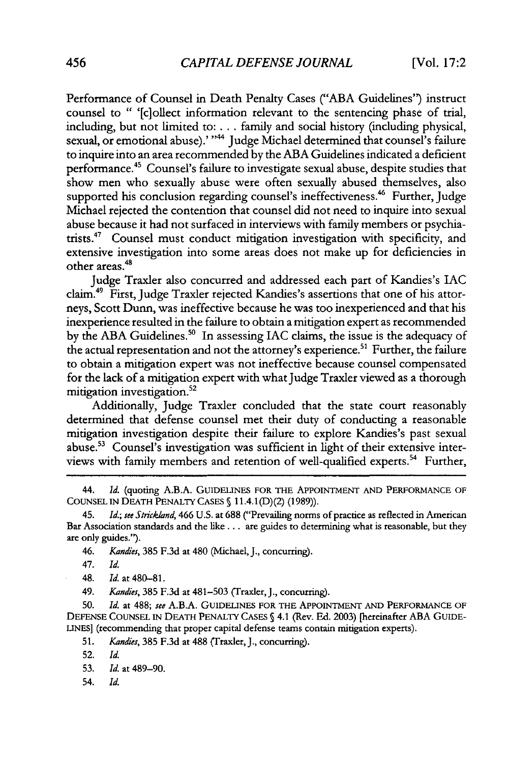Performance of Counsel in Death Penalty Cases ("ABA Guidelines") instruct counsel to " '[clollect information relevant to the sentencing phase of trial, including, but not limited to: **...** family and social history (including physical, sexual, or emotional abuse).' "<sup>44</sup> Judge Michael determined that counsel's failure to inquire into an area recommended by the ABA Guidelines indicated a deficient performance.<sup>45</sup> Counsel's failure to investigate sexual abuse, despite studies that show men who sexually abuse were often sexually abused themselves, also supported his conclusion regarding counsel's ineffectiveness.<sup>46</sup> Further, Judge Michael rejected the contention that counsel did not need to inquire into sexual abuse because it had not surfaced in interviews with family members or psychiatrists."7 Counsel must conduct mitigation investigation with specificity, and extensive investigation into some areas does not make up for deficiencies in other areas.<sup>48</sup>

Judge Traxler also concurred and addressed each part of Kandies's **IAC** claim."9 First, Judge Traxler rejected Kandies's assertions that one of his attorneys, Scott Dunn, was ineffective because he was too inexperienced and that his inexperience resulted in the failure to obtain a mitigation expert as recommended by the ABA Guidelines.<sup>50</sup> In assessing IAC claims, the issue is the adequacy of the actual representation and not the attorney's experience.<sup>51</sup> Further, the failure to obtain a mitigation expert was not ineffective because counsel compensated for the lack of a mitigation expert with what Judge Traxler viewed as a thorough mitigation investigation. $52$ 

Additionally, Judge Traxler concluded that the state court reasonably determined that defense counsel met their duty of conducting a reasonable mitigation investigation despite their failure to explore Kandies's past sexual abuse.<sup>53</sup> Counsel's investigation was sufficient in light of their extensive interviews with family members and retention of well-qualified experts.<sup>54</sup> Further,

44. *Id.* (quoting A.B.A. GUIDELINES FOR THE APPOINTMENT AND PERFORMANCE OF COUNSEL IN DEATH PENALTY CASES **§** 11.4.1 (D)(2) (1989)).

45. *Id.; see Strickland,* 466 U.S. at **688** ("Prevailing norms of practice as reflected in American Bar Association standards and the like.., are guides to determining what is reasonable, but they are only guides.").

46. *Kandies*, 385 F.3d at 480 (Michael, J., concurring).

47. Id.

48. *Id.* at 480-81.

49. *Kan'es,* 385 F.3d at 481-503 (Traxler, J., concurring).

50. *Id.* at 488; *see* A.B.A. GUIDELINES FOR THE APPOINTMENT AND PERFORMANCE OF DEFENSE COUNSEL IN DEATH PENALTY CASES **§** 4.1 (Rev. Ed. 2003) [hereinafter ABA GUIDE-LINES] (recommending that proper capital defense teams contain mitigation experts).

51. *Kandes,* 385 F.3d at 488 (Traxler, J., concurring).

52. Id.

- 53. *Id.* at 489-90.
- 54. Id.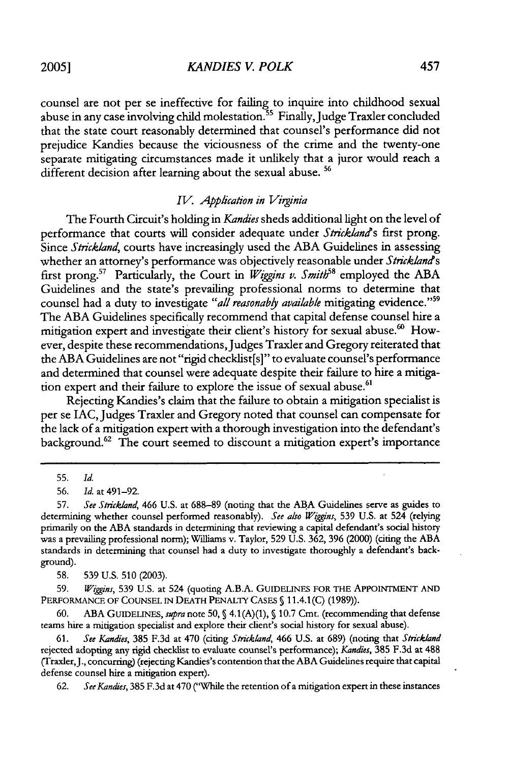*KANDIES V. POLK*

counsel are not per se ineffective for failing to inquire into childhood sexual abuse in any case involving child molestation.<sup>55</sup> Finally, Judge Traxler concluded that the state court reasonably determined that counsel's performance did not prejudice Kandies because the viciousness of the crime and the twenty-one separate mitigating circumstances made it unlikely that a juror would reach a different decision after learning about the sexual abuse. **56**

#### *IV. Application in Virginia*

The Fourth Circuit's holding in *Kandies* sheds additional light on the level of performance that courts will consider adequate under *Strickland's* first prong. Since Strickland, courts have increasingly used the ABA Guidelines in assessing whether an attorney's performance was objectively reasonable under *Stricklands* first prong.<sup>57</sup> Particularly, the Court in *Wiggins v. Smith*<sup>58</sup> employed the ABA Guidelines and the state's prevailing professional norms to determine that counsel had a duty to investigate "all reasonably available mitigating evidence."<sup>59</sup> The ABA Guidelines specifically recommend that capital defense counsel hire a mitigation expert and investigate their client's history for sexual abuse.<sup>60</sup> However, despite these recommendations, Judges Traxler and Gregory reiterated that the ABA Guidelines are not "rigid checklist[s]" to evaluate counsel's performance and determined that counsel were adequate despite their failure to hire a mitigation expert and their failure to explore the issue of sexual abuse.<sup>61</sup>

Rejecting Kandies's claim that the failure to obtain a mitigation specialist is per se IAC, Judges Traxler and Gregory noted that counsel can compensate for the lack of a mitigation expert with a thorough investigation into the defendant's background.<sup>62</sup> The court seemed to discount a mitigation expert's importance

58. 539 **U.S. 510** (2003).

59. *Wiggins,* 539 U.S. at 524 (quoting A.B.A. **GUIDELINES** FOR THE **APPOINTMENT AND** PERFORMANCE OF **COUNSEL IN DEATH** PENALTY **CASES §** 11.4.1(C) (1989)).

60. ABA **GUIDELINES,** *supra* note 50, **§** 4.1(A)(1), **§** 10.7 Cmt. (recommending that defense teams hire a mitigation specialist and explore their client's social history for sexual abuse).

62. *See Kandies,* 385 F.3d at 470 ("While the retention of a mitigation expert in these instances

<sup>55.</sup> *Id.*

<sup>56.</sup> *Id.* at 491-92.

<sup>57.</sup> *See Strickland,* 466 U.S. at 688-89 (noting that the ABA Guidelines serve as guides to determining whether counsel performed reasonably). *See also Wiggins,* 539 U.S. at 524 (relying primarily on the ABA standards in determining that reviewing a capital defendant's social history was a prevailing professional norm); Williams v. Taylor, 529 U.S. 362, 396 (2000) (citing the ABA standards in determining that counsel had a duty to investigate thoroughly a defendant's background).

<sup>61.</sup> *See Kandies,* 385 F.3d at 470 (citing *Strickland,* 466 U.S. at 689) (noting that *Strickland* rejected adopting any rigid checklist to evaluate counsel's performance); *Kandies,* 385 F.3d at 488 (Traxler,J., concurring) (rejecting Kandies's contention that the ABA Guidelines require that capital defense counsel hire a mitigation expert).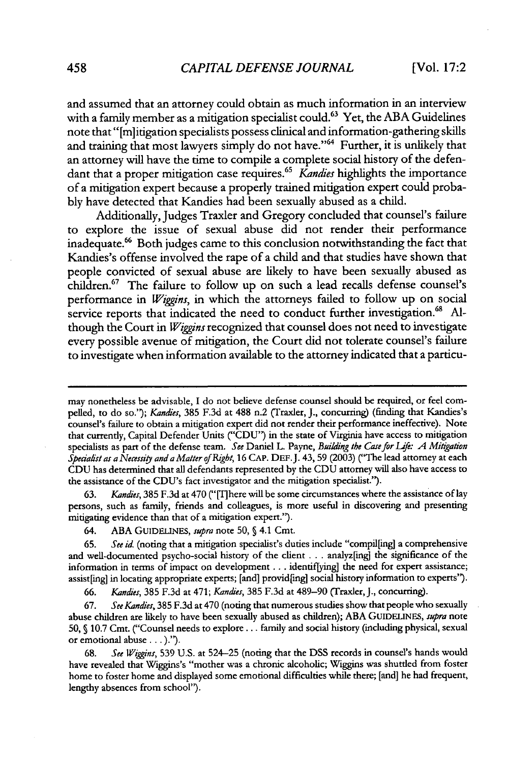and assumed that an attorney could obtain as much information in an interview with a family member as a mitigation specialist could.<sup>63</sup> Yet, the ABA Guidelines note that "[m]itigation specialists possess clinical and information-gathering skills and training that most lawyers simply do not have."<sup>64</sup> Further, it is unlikely that an attorney will have the time to compile a complete social history of the defendant that a proper mitigation case requires. <sup>65</sup>*Kandies* highlights the importance of a mitigation expert because a properly trained mitigation expert could probably have detected that Kandies had been sexually abused as a child.

Additionally, Judges Traxler and Gregory concluded that counsel's failure to explore the issue of sexual abuse did not render their performance inadequate.<sup>66</sup> Both judges came to this conclusion notwithstanding the fact that Kandies's offense involved the rape of a child and that studies have shown that people convicted of sexual abuse are likely to have been sexually abused as children.<sup>67</sup> The failure to follow up on such a lead recalls defense counsel's performance in *Wiggins,* in which the attorneys failed to follow up on social service reports that indicated the need to conduct further investigation.<sup>68</sup> Although the Court in *Wiggins* recognized that counsel does not need to investigate every possible avenue of mitigation, the Court did not tolerate counsel's failure to investigate when information available to the attorney indicated that a particu-

63. *Kandies,* 385 F.3d at 470 ("[Tlhere will be some circumstances where the assistance of lay persons, such as family, friends and colleagues, is more useful in discovering and presenting mitigating evidence than that of a mitigation expert.").

64. ABA GUIDELINES, *supra* note **50, §** 4.1 Cmt.

65. *See id.* (noting that a mitigation specialist's duties include "compil[ing] a comprehensive and well-documented psycho-social history of the client . **..** analyz[ing] the significance of the information in terms of impact on development . . . identif[ying] the need for expert assistance; assist[ing] in locating appropriate experts; [and] provid[ing] social history information to experts").

66. *Kandies,* 385 F.3d at 471; *Kandies*, 385 F.3d at 489–90 (Traxler, J., concurring).

67. *See Kandies,* 385 F.3d at 470 (noting that numerous studies show that people who sexually abuse children are likely to have been sexually abused as children); ABA GUIDELINES, *supra* note 50, **§** 10.7 Cmt. ("Counsel needs to explore.., family and social history (including physical, sexual or emotional abuse... ).').

68. *See Wiggins,* 539 U.S. at 524-25 (noting that the DSS records in counsel's hands would have revealed that Wiggins's "mother was a chronic alcoholic; Wiggins was shuttled from foster home to foster home and displayed some emotional difficulties while there; [and] he had frequent, lengthy absences from school').

may nonetheless be advisable, I do not believe defense counsel should be required, or feel compelled, to do so."); *Kandies,* 385 F.3d at 488 n.2 (Traxler, J., concurring) (finding that Kandies's counsel's failure to obtain a mitigation expert did not render their performance ineffective). Note that currently, Capital Defender Units ("CDU") in the state of Virginia have access to mitigation specialists as part of the defense team. *See* Daniel L. Payne, *Building the Case for Life: A Mitigation Spedah'st as a Necessiy and a Matter of Rigbt,* 16 CAP. DEF.J. 43, 59 (2003) ("The lead attorney at each CDU has determined that all defendants represented by the CDU attorney will also have access to the assistance of the CDU's fact investigator and the mitigation specialist.").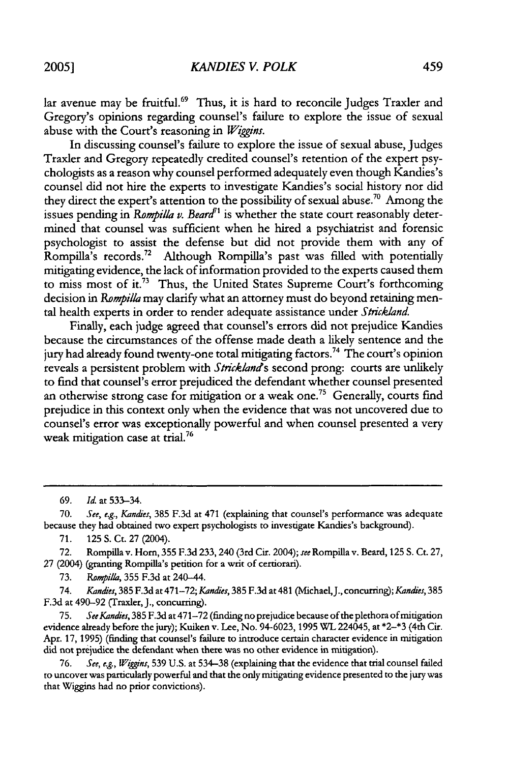**2005]**

lar avenue may be fruitful.<sup>69</sup> Thus, it is hard to reconcile Judges Traxler and Gregory's opinions regarding counsel's failure to explore the issue of sexual abuse with the Court's reasoning in *Wiggins.*

In discussing counsel's failure to explore the issue of sexual abuse, Judges Traxler and Gregory repeatedly credited counsel's retention of the expert psychologists as a reason why counsel performed adequately even though Kandies's counsel did not hire the experts to investigate Kandies's social history nor did they direct the expert's attention to the possibility of sexual abuse.<sup>70</sup> Among the issues pending in *Rompilla v. Beard<sup>[1</sup>* is whether the state court reasonably determined that counsel was sufficient when he hired a psychiatrist and forensic psychologist to assist the defense but did not provide them with any of Rompilla's records.72 Although Rompilla's past was filled with potentially mitigating evidence, the lack of information provided to the experts caused them to miss most of **it.73** Thus, the United States Supreme Court's forthcoming decision in *Rompilla* may clarify what an attorney must do beyond retaining mental health experts in order to render adequate assistance under *Strickland.*

Finally, each judge agreed that counsel's errors did not prejudice Kandies because the circumstances of the offense made death a likely sentence and the jury had already found twenty-one total mitigating factors.<sup>74</sup> The court's opinion reveals a persistent problem with *Stricklands* second prong: courts are unlikely to find that counsel's error prejudiced the defendant whether counsel presented an otherwise strong case for mitigation or a weak one.<sup>75</sup> Generally, courts find prejudice in this context only when the evidence that was not uncovered due to counsel's error was exceptionally powerful and when counsel presented a very weak mitigation case at trial.<sup>76</sup>

70. *See, e.g., Kandies,* 385 F.3d at 471 (explaining that counsel's performance was adequate because they had obtained two expert psychologists to investigate Kandies's background).

71. 125 S. Ct. 27 (2004).

72. Rompilla v. Horn, 355 F.3d 233,240 (3rd Cir. 2004); *see* Rompilla v. Beard, 125 **S.** Ct. 27, 27 (2004) (granting Rompilla's petition for a writ of certiorari).

73. *Rompilla,* 355 F.3d at 240-44.

74. *Kanaies,* 385 F.3d at 471-72; *Kan&es,* 385 F.3d at 481 (Michael,J., concurring); *Kandies,* 385 F.3d at 490-92 (Traxler, J., concurring).

75. *SeeKand'es,* 385 F.3d at 471-72 (finding no prejudice because of the plethora of mitigation evidence already before the jury); Kuiken v. Lee, No. 94-6023, 1995 WL 224045, at \*2-\*3 (4th Cir. Apr. 17, 1995) (finding that counsel's failure to introduce certain character evidence in mitigation did not prejudice the defendant when there was no other evidence in mitigation).

76. *See, e.g., Wiggins,* 539 U.S. at 534-38 (explaining that the evidence that trial counsel failed to uncover was particularly powerful and that the only mitigating evidence presented to the jury was that Wiggins had no prior convictions).

<sup>69.</sup> *Id.* at 533-34.